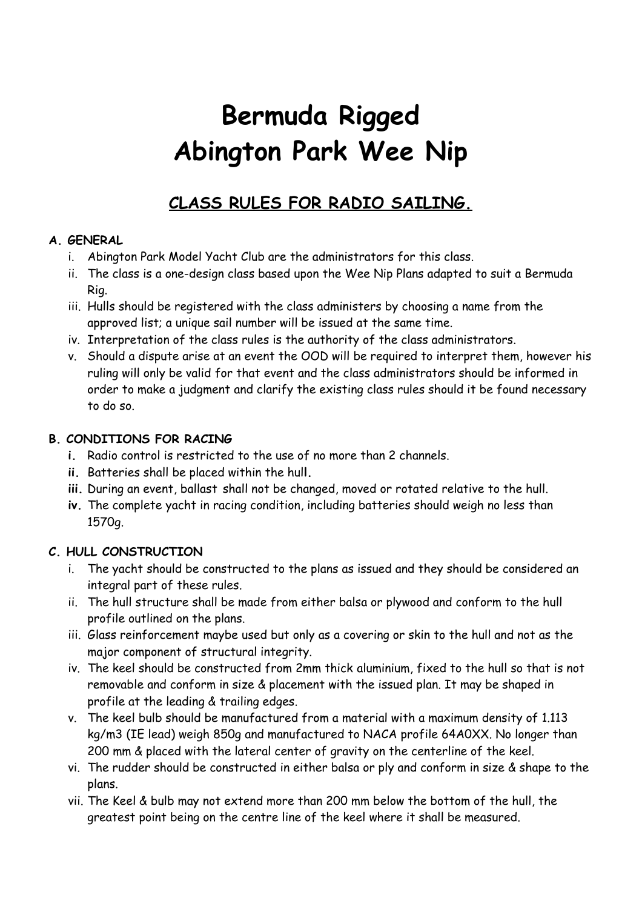# **Bermuda Rigged Abington Park Wee Nip**

# **CLASS RULES FOR RADIO SAILING.**

## **A. GENERAL**

- i. Abington Park Model Yacht Club are the administrators for this class.
- ii. The class is a one-design class based upon the Wee Nip Plans adapted to suit a Bermuda Rig.
- iii. Hulls should be registered with the class administers by choosing a name from the approved list; a unique sail number will be issued at the same time.
- iv. Interpretation of the class rules is the authority of the class administrators.
- v. Should a dispute arise at an event the OOD will be required to interpret them, however his ruling will only be valid for that event and the class administrators should be informed in order to make a judgment and clarify the existing class rules should it be found necessary to do so.

#### **B. CONDITIONS FOR RACING**

- **i.** Radio control is restricted to the use of no more than 2 channels.
- **ii.** Batteries shall be placed within the hul**l.**
- **iii.** During an event, ballast shall not be changed, moved or rotated relative to the hull.
- **iv.** The complete yacht in racing condition, including batteries should weigh no less than 1570g.

## **C. HULL CONSTRUCTION**

- i. The yacht should be constructed to the plans as issued and they should be considered an integral part of these rules.
- ii. The hull structure shall be made from either balsa or plywood and conform to the hull profile outlined on the plans.
- iii. Glass reinforcement maybe used but only as a covering or skin to the hull and not as the major component of structural integrity.
- iv. The keel should be constructed from 2mm thick aluminium, fixed to the hull so that is not removable and conform in size & placement with the issued plan. It may be shaped in profile at the leading & trailing edges.
- v. The keel bulb should be manufactured from a material with a maximum density of 1.113 kg/m3 (IE lead) weigh 850g and manufactured to NACA profile 64A0XX. No longer than 200 mm & placed with the lateral center of gravity on the centerline of the keel.
- vi. The rudder should be constructed in either balsa or ply and conform in size & shape to the plans.
- vii. The Keel & bulb may not extend more than 200 mm below the bottom of the hull, the greatest point being on the centre line of the keel where it shall be measured.